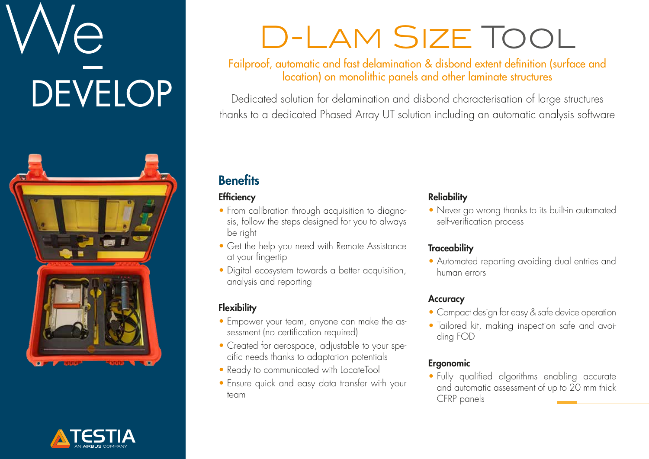# $\triangle$ **DEVELOP**



## D-Lam Size Tool

Failproof, automatic and fast delamination & disbond extent definition (surface and location) on monolithic panels and other laminate structures

Dedicated solution for delamination and disbond characterisation of large structures thanks to a dedicated Phased Array UT solution including an automatic analysis software

### **Benefits**

#### **Efficiency**

- From calibration through acquisition to diagnosis, follow the steps designed for you to always be right
- Get the help you need with Remote Assistance at your fingertip
- Digital ecosystem towards a better acquisition, analysis and reporting

#### **Flexibility**

- Empower your team, anyone can make the assessment (no certification required)
- Created for aerospace, adjustable to your specific needs thanks to adaptation potentials
- Ready to communicated with LocateTool
- Ensure quick and easy data transfer with your team

#### **Reliability**

• Never go wrong thanks to its built-in automated self-verification process

#### **Traceability**

• Automated reporting avoiding dual entries and human errors

#### **Accuracy**

- Compact design for easy & safe device operation
- Tailored kit, making inspection safe and avoiding FOD

#### **Ergonomic**

• Fully qualified algorithms enabling accurate and automatic assessment of up to 20 mm thick CFRP panels